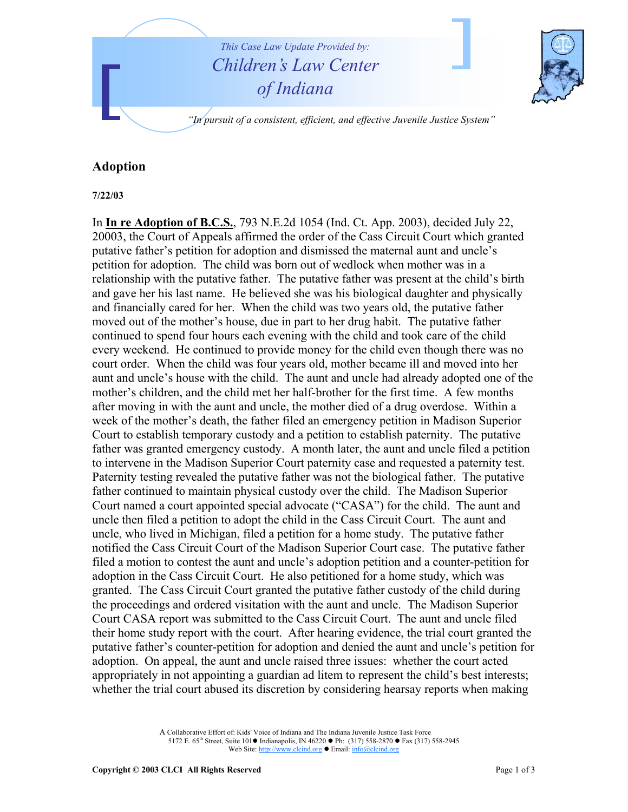

## **Adoption**

**7/22/03**

In **In re Adoption of B.C.S.**, 793 N.E.2d 1054 (Ind. Ct. App. 2003), decided July 22, 20003, the Court of Appeals affirmed the order of the Cass Circuit Court which granted putative father's petition for adoption and dismissed the maternal aunt and uncle's petition for adoption. The child was born out of wedlock when mother was in a relationship with the putative father. The putative father was present at the child's birth and gave her his last name. He believed she was his biological daughter and physically and financially cared for her. When the child was two years old, the putative father moved out of the mother's house, due in part to her drug habit. The putative father continued to spend four hours each evening with the child and took care of the child every weekend. He continued to provide money for the child even though there was no court order. When the child was four years old, mother became ill and moved into her aunt and uncle's house with the child. The aunt and uncle had already adopted one of the mother's children, and the child met her half-brother for the first time. A few months after moving in with the aunt and uncle, the mother died of a drug overdose. Within a week of the mother's death, the father filed an emergency petition in Madison Superior Court to establish temporary custody and a petition to establish paternity. The putative father was granted emergency custody. A month later, the aunt and uncle filed a petition to intervene in the Madison Superior Court paternity case and requested a paternity test. Paternity testing revealed the putative father was not the biological father. The putative father continued to maintain physical custody over the child. The Madison Superior Court named a court appointed special advocate ("CASA") for the child. The aunt and uncle then filed a petition to adopt the child in the Cass Circuit Court. The aunt and uncle, who lived in Michigan, filed a petition for a home study. The putative father notified the Cass Circuit Court of the Madison Superior Court case. The putative father filed a motion to contest the aunt and uncle's adoption petition and a counter-petition for adoption in the Cass Circuit Court. He also petitioned for a home study, which was granted. The Cass Circuit Court granted the putative father custody of the child during the proceedings and ordered visitation with the aunt and uncle. The Madison Superior Court CASA report was submitted to the Cass Circuit Court. The aunt and uncle filed their home study report with the court. After hearing evidence, the trial court granted the putative father's counter-petition for adoption and denied the aunt and uncle's petition for adoption. On appeal, the aunt and uncle raised three issues: whether the court acted appropriately in not appointing a guardian ad litem to represent the child's best interests; whether the trial court abused its discretion by considering hearsay reports when making

> A Collaborative Effort of: Kids' Voice of Indiana and The Indiana Juvenile Justice Task Force 5172 E. 65<sup>th</sup> Street, Suite 101 $\bullet$  Indianapolis, IN 46220  $\bullet$  Ph: (317) 558-2870  $\bullet$  Fax (317) 558-2945 Web Site: http://www.clcind.org • Email: info@clcind.org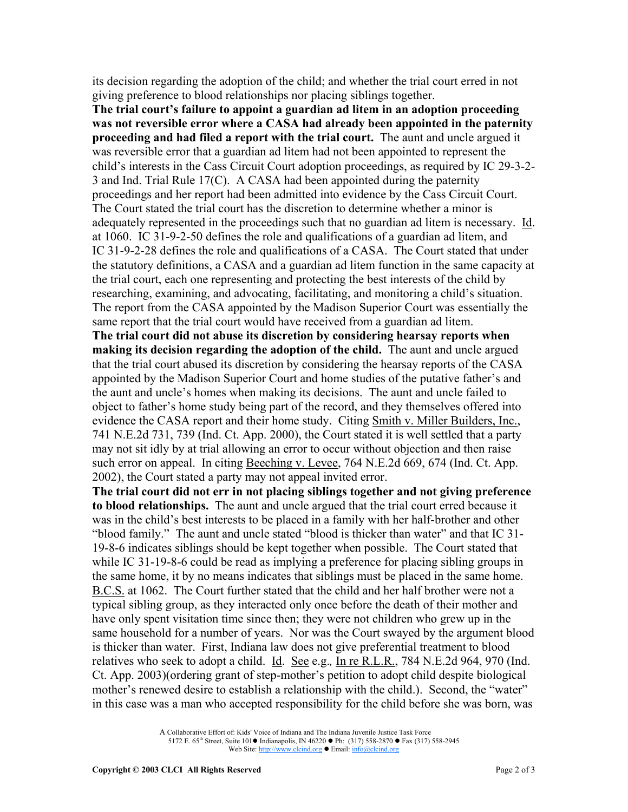its decision regarding the adoption of the child; and whether the trial court erred in not giving preference to blood relationships nor placing siblings together.

**The trial court's failure to appoint a guardian ad litem in an adoption proceeding was not reversible error where a CASA had already been appointed in the paternity proceeding and had filed a report with the trial court.** The aunt and uncle argued it was reversible error that a guardian ad litem had not been appointed to represent the child's interests in the Cass Circuit Court adoption proceedings, as required by IC 29-3-2- 3 and Ind. Trial Rule 17(C). A CASA had been appointed during the paternity proceedings and her report had been admitted into evidence by the Cass Circuit Court. The Court stated the trial court has the discretion to determine whether a minor is adequately represented in the proceedings such that no guardian ad litem is necessary. Id. at 1060. IC 31-9-2-50 defines the role and qualifications of a guardian ad litem, and IC 31-9-2-28 defines the role and qualifications of a CASA. The Court stated that under the statutory definitions, a CASA and a guardian ad litem function in the same capacity at the trial court, each one representing and protecting the best interests of the child by researching, examining, and advocating, facilitating, and monitoring a child's situation. The report from the CASA appointed by the Madison Superior Court was essentially the same report that the trial court would have received from a guardian ad litem.

**The trial court did not abuse its discretion by considering hearsay reports when making its decision regarding the adoption of the child.** The aunt and uncle argued that the trial court abused its discretion by considering the hearsay reports of the CASA appointed by the Madison Superior Court and home studies of the putative father's and the aunt and uncle's homes when making its decisions. The aunt and uncle failed to object to father's home study being part of the record, and they themselves offered into evidence the CASA report and their home study. Citing Smith v. Miller Builders, Inc., 741 N.E.2d 731, 739 (Ind. Ct. App. 2000), the Court stated it is well settled that a party may not sit idly by at trial allowing an error to occur without objection and then raise such error on appeal. In citing Beeching v. Levee, 764 N.E.2d 669, 674 (Ind. Ct. App. 2002), the Court stated a party may not appeal invited error.

**The trial court did not err in not placing siblings together and not giving preference to blood relationships.** The aunt and uncle argued that the trial court erred because it was in the child's best interests to be placed in a family with her half-brother and other "blood family." The aunt and uncle stated "blood is thicker than water" and that IC 31- 19-8-6 indicates siblings should be kept together when possible. The Court stated that while IC 31-19-8-6 could be read as implying a preference for placing sibling groups in the same home, it by no means indicates that siblings must be placed in the same home. B.C.S. at 1062. The Court further stated that the child and her half brother were not a typical sibling group, as they interacted only once before the death of their mother and have only spent visitation time since then; they were not children who grew up in the same household for a number of years. Nor was the Court swayed by the argument blood is thicker than water. First, Indiana law does not give preferential treatment to blood relatives who seek to adopt a child. Id. See e.g.*,* In re R.L.R., 784 N.E.2d 964, 970 (Ind. Ct. App. 2003)(ordering grant of step-mother's petition to adopt child despite biological mother's renewed desire to establish a relationship with the child.). Second, the "water" in this case was a man who accepted responsibility for the child before she was born, was

A Collaborative Effort of: Kids' Voice of Indiana and The Indiana Juvenile Justice Task Force 5172 E. 65<sup>th</sup> Street, Suite 101 $\bullet$  Indianapolis, IN 46220  $\bullet$  Ph: (317) 558-2870  $\bullet$  Fax (317) 558-2945 Web Site: http://www.clcind.org • Email: info@clcind.org